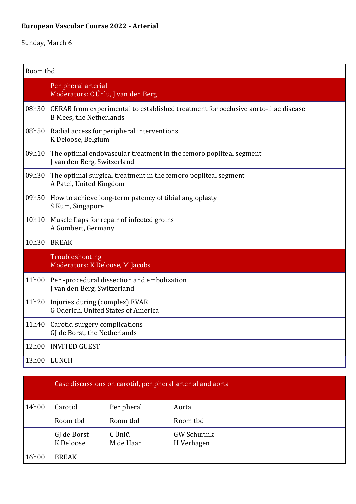## **European Vascular Course 2022 - Arterial**

| Room tbd |                                                                                                                      |  |
|----------|----------------------------------------------------------------------------------------------------------------------|--|
|          | Peripheral arterial<br>Moderators: C Ünlü, J van den Berg                                                            |  |
| 08h30    | CERAB from experimental to established treatment for occlusive aorto-iliac disease<br><b>B Mees, the Netherlands</b> |  |
| 08h50    | Radial access for peripheral interventions<br>K Deloose, Belgium                                                     |  |
| 09h10    | The optimal endovascular treatment in the femoro popliteal segment<br>J van den Berg, Switzerland                    |  |
| 09h30    | The optimal surgical treatment in the femoro popliteal segment<br>A Patel, United Kingdom                            |  |
| 09h50    | How to achieve long-term patency of tibial angioplasty<br>S Kum, Singapore                                           |  |
| 10h10    | Muscle flaps for repair of infected groins<br>A Gombert, Germany                                                     |  |
| 10h30    | <b>BREAK</b>                                                                                                         |  |
|          | Troubleshooting<br>Moderators: K Deloose, M Jacobs                                                                   |  |
| 11h00    | Peri-procedural dissection and embolization<br>J van den Berg, Switzerland                                           |  |
| 11h20    | Injuries during (complex) EVAR<br>G Oderich, United States of America                                                |  |
| 11h40    | Carotid surgery complications<br>GJ de Borst, the Netherlands                                                        |  |
| 12h00    | <b>INVITED GUEST</b>                                                                                                 |  |
| 13h00    | <b>LUNCH</b>                                                                                                         |  |

|       |                          | Case discussions on carotid, peripheral arterial and aorta |                                  |
|-------|--------------------------|------------------------------------------------------------|----------------------------------|
| 14h00 | Carotid                  | Peripheral                                                 | Aorta                            |
|       | Room tbd                 | Room tbd                                                   | Room tbd                         |
|       | GJ de Borst<br>K Deloose | C Ünlü<br>M de Haan                                        | <b>GW Schurink</b><br>H Verhagen |
| 16h00 | <b>BREAK</b>             |                                                            |                                  |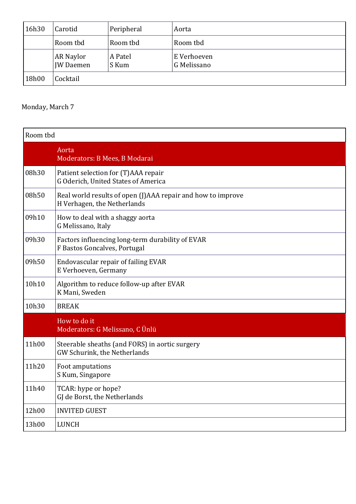| 16h30 | Carotid                              | Peripheral       | Aorta                      |
|-------|--------------------------------------|------------------|----------------------------|
|       | Room tbd                             | Room tbd         | Room tbd                   |
|       | <b>AR Naylor</b><br><b>JW</b> Daemen | A Patel<br>S Kum | E Verhoeven<br>G Melissano |
| 18h00 | Cocktail                             |                  |                            |

#### Monday, March 7

| Room tbd |                                                                                            |
|----------|--------------------------------------------------------------------------------------------|
|          | Aorta<br>Moderators: B Mees, B Modarai                                                     |
| 08h30    | Patient selection for (T)AAA repair<br>G Oderich, United States of America                 |
| 08h50    | Real world results of open (J)AAA repair and how to improve<br>H Verhagen, the Netherlands |
| 09h10    | How to deal with a shaggy aorta<br>G Melissano, Italy                                      |
| 09h30    | Factors influencing long-term durability of EVAR<br>F Bastos Goncalves, Portugal           |
| 09h50    | Endovascular repair of failing EVAR<br>E Verhoeven, Germany                                |
| 10h10    | Algorithm to reduce follow-up after EVAR<br>K Mani, Sweden                                 |
| 10h30    | <b>BREAK</b>                                                                               |
|          | How to do it<br>Moderators: G Melissano, C Ünlü                                            |
| 11h00    | Steerable sheaths (and FORS) in aortic surgery<br>GW Schurink, the Netherlands             |
| 11h20    | Foot amputations<br>S Kum, Singapore                                                       |
| 11h40    | TCAR: hype or hope?<br>GJ de Borst, the Netherlands                                        |
| 12h00    | <b>INVITED GUEST</b>                                                                       |
| 13h00    | <b>LUNCH</b>                                                                               |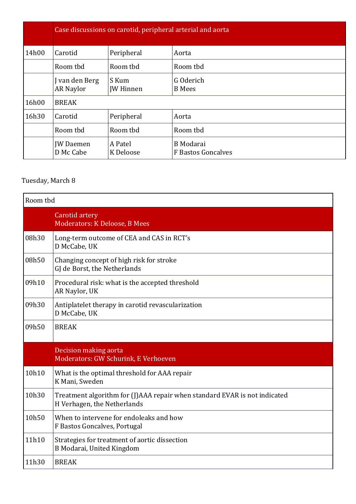|       |                                    |                           | Case discussions on carotid, peripheral arterial and aorta |
|-------|------------------------------------|---------------------------|------------------------------------------------------------|
| 14h00 | Carotid                            | Peripheral                | Aorta                                                      |
|       | Room tbd                           | Room tbd                  | Room tbd                                                   |
|       | J van den Berg<br><b>AR Naylor</b> | S Kum<br><b>JW</b> Hinnen | G Oderich<br><b>B</b> Mees                                 |
| 16h00 | <b>BREAK</b>                       |                           |                                                            |
| 16h30 | Carotid                            | Peripheral                | Aorta                                                      |
|       | Room tbd                           | Room tbd                  | Room tbd                                                   |
|       | <b>JW</b> Daemen<br>D Mc Cabe      | A Patel<br>K Deloose      | <b>B</b> Modarai<br><b>F Bastos Goncalves</b>              |

#### Tuesday, March 8

| Room tbd |                                                                                                          |  |
|----------|----------------------------------------------------------------------------------------------------------|--|
|          | Carotid artery<br>Moderators: K Deloose, B Mees                                                          |  |
| 08h30    | Long-term outcome of CEA and CAS in RCT's<br>D McCabe, UK                                                |  |
| 08h50    | Changing concept of high risk for stroke<br>GJ de Borst, the Netherlands                                 |  |
| 09h10    | Procedural risk: what is the accepted threshold<br>AR Naylor, UK                                         |  |
| 09h30    | Antiplatelet therapy in carotid revascularization<br>D McCabe, UK                                        |  |
| 09h50    | <b>BREAK</b>                                                                                             |  |
|          | Decision making aorta<br>Moderators: GW Schurink, E Verhoeven                                            |  |
| 10h10    | What is the optimal threshold for AAA repair<br>K Mani, Sweden                                           |  |
| 10h30    | Treatment algorithm for (J)AAA repair when standard EVAR is not indicated<br>H Verhagen, the Netherlands |  |
| 10h50    | When to intervene for endoleaks and how<br>F Bastos Goncalves, Portugal                                  |  |
| 11h10    | Strategies for treatment of aortic dissection<br>B Modarai, United Kingdom                               |  |
| 11h30    | <b>BREAK</b>                                                                                             |  |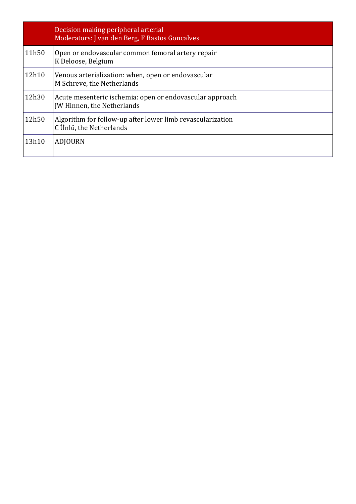|       | Decision making peripheral arterial<br>Moderators: J van den Berg, F Bastos Goncalves  |
|-------|----------------------------------------------------------------------------------------|
| 11h50 | Open or endovascular common femoral artery repair<br>K Deloose, Belgium                |
| 12h10 | Venous arterialization: when, open or endovascular<br>M Schreve, the Netherlands       |
| 12h30 | Acute mesenteric ischemia: open or endovascular approach<br>JW Hinnen, the Netherlands |
| 12h50 | Algorithm for follow-up after lower limb revascularization<br>C Ünlü, the Netherlands  |
| 13h10 | <b>ADJOURN</b>                                                                         |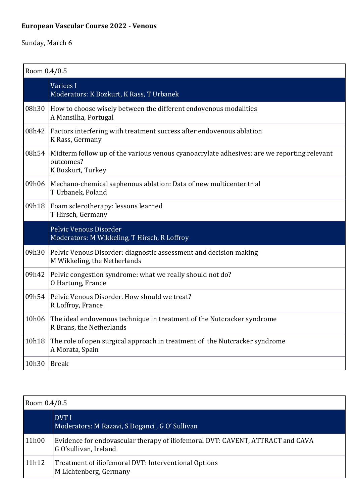## **European Vascular Course 2022 - Venous**

| Room 0.4/0.5 |                                                                                                                              |  |
|--------------|------------------------------------------------------------------------------------------------------------------------------|--|
|              | Varices I<br>Moderators: K Bozkurt, K Rass, T Urbanek                                                                        |  |
| 08h30        | How to choose wisely between the different endovenous modalities<br>A Mansilha, Portugal                                     |  |
| 08h42        | Factors interfering with treatment success after endovenous ablation<br>K Rass, Germany                                      |  |
| 08h54        | Midterm follow up of the various venous cyanoacrylate adhesives: are we reporting relevant<br>outcomes?<br>K Bozkurt, Turkey |  |
| 09h06        | Mechano-chemical saphenous ablation: Data of new multicenter trial<br>T Urbanek, Poland                                      |  |
| 09h18        | Foam sclerotherapy: lessons learned<br>T Hirsch, Germany                                                                     |  |
|              | Pelvic Venous Disorder<br>Moderators: M Wikkeling, T Hirsch, R Loffroy                                                       |  |
| 09h30        | Pelvic Venous Disorder: diagnostic assessment and decision making<br>M Wikkeling, the Netherlands                            |  |
| 09h42        | Pelvic congestion syndrome: what we really should not do?<br>O Hartung, France                                               |  |
| 09h54        | Pelvic Venous Disorder. How should we treat?<br>R Loffroy, France                                                            |  |
| 10h06        | The ideal endovenous technique in treatment of the Nutcracker syndrome<br>R Brans, the Netherlands                           |  |
| 10h18        | The role of open surgical approach in treatment of the Nutcracker syndrome<br>A Morata, Spain                                |  |
| 10h30        | <b>Break</b>                                                                                                                 |  |

|       | Room 0.4/0.5                                                                                            |  |  |
|-------|---------------------------------------------------------------------------------------------------------|--|--|
|       | DVT I<br>Moderators: M Razavi, S Doganci, G O' Sullivan                                                 |  |  |
| 11h00 | Evidence for endovascular therapy of iliofemoral DVT: CAVENT, ATTRACT and CAVA<br>G O'sullivan, Ireland |  |  |
| 11h12 | Treatment of iliofemoral DVT: Interventional Options<br>M Lichtenberg, Germany                          |  |  |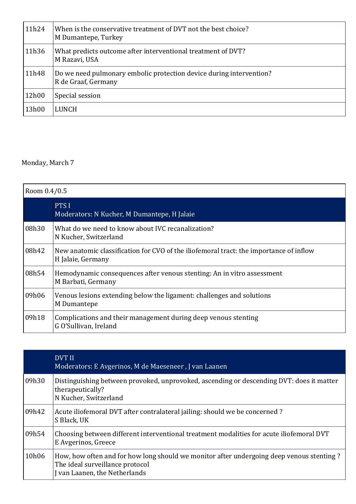| 11h24 | When is the conservative treatment of DVT not the best choice?<br>M Dumantepe, Turkey      |
|-------|--------------------------------------------------------------------------------------------|
| 11h36 | What predicts outcome after interventional treatment of DVT?<br>M Razavi, USA              |
| 11h48 | Do we need pulmonary embolic protection device during intervention?<br>R de Graaf, Germany |
| 12h00 | Special session                                                                            |
| 13h00 | LUNCH                                                                                      |

#### Monday, March 7

| Room 0.4/0.5 |                                                                                                             |  |
|--------------|-------------------------------------------------------------------------------------------------------------|--|
|              | PTS I<br>Moderators: N Kucher, M Dumantepe, H Jalaie                                                        |  |
| 08h30        | What do we need to know about IVC recanalization?<br>N Kucher, Switzerland                                  |  |
| 08h42        | New anatomic classification for CVO of the iliofemoral tract: the importance of inflow<br>H Jalaie, Germany |  |
| 08h54        | Hemodynamic consequences after venous stenting: An in vitro assessment<br>M Barbati, Germany                |  |
| 09h06        | Venous lesions extending below the ligament: challenges and solutions<br>M Dumantepe                        |  |
| 09h18        | Complications and their management during deep venous stenting<br>G O'Sullivan, Ireland                     |  |

|       | DVT II<br>Moderators: E Avgerinos, M de Maeseneer, J van Laanen                                                                                            |
|-------|------------------------------------------------------------------------------------------------------------------------------------------------------------|
| 09h30 | Distinguishing between provoked, unprovoked, ascending or descending DVT: does it matter<br>therapeutically?<br>N Kucher, Switzerland                      |
| 09h42 | Acute iliofemoral DVT after contralateral jailing: should we be concerned?<br>S Black, UK                                                                  |
| 09h54 | Choosing between different interventional treatment modalities for acute iliofemoral DVT<br>E Avgerinos, Greece                                            |
| 10h06 | How, how often and for how long should we monitor after undergoing deep venous stenting?<br>The ideal surveillance protocol<br>van Laanen, the Netherlands |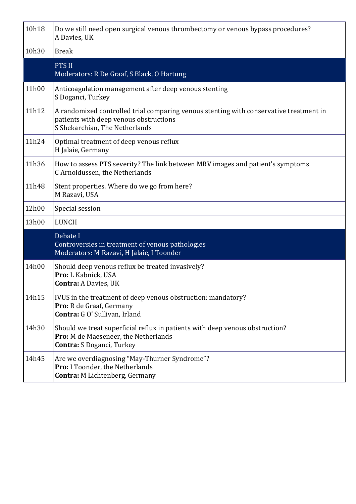| 10h18 | Do we still need open surgical venous thrombectomy or venous bypass procedures?<br>A Davies, UK                                                                    |
|-------|--------------------------------------------------------------------------------------------------------------------------------------------------------------------|
| 10h30 | <b>Break</b>                                                                                                                                                       |
|       | <b>PTS II</b><br>Moderators: R De Graaf, S Black, O Hartung                                                                                                        |
| 11h00 | Anticoagulation management after deep venous stenting<br>S Doganci, Turkey                                                                                         |
| 11h12 | A randomized controlled trial comparing venous stenting with conservative treatment in<br>patients with deep venous obstructions<br>S Shekarchian, The Netherlands |
| 11h24 | Optimal treatment of deep venous reflux<br>H Jalaie, Germany                                                                                                       |
| 11h36 | How to assess PTS severity? The link between MRV images and patient's symptoms<br>C Arnoldussen, the Netherlands                                                   |
| 11h48 | Stent properties. Where do we go from here?<br>M Razavi, USA                                                                                                       |
| 12h00 | Special session                                                                                                                                                    |
| 13h00 | <b>LUNCH</b>                                                                                                                                                       |
|       | Debate I<br>Controversies in treatment of venous pathologies<br>Moderators: M Razavi, H Jalaie, I Toonder                                                          |
| 14h00 | Should deep venous reflux be treated invasively?<br>Pro: L Kabnick, USA<br><b>Contra: A Davies, UK</b>                                                             |
| 14h15 | IVUS in the treatment of deep venous obstruction: mandatory?<br>Pro: R de Graaf, Germany<br>Contra: G O' Sullivan, Irland                                          |
| 14h30 | Should we treat superficial reflux in patients with deep venous obstruction?<br>Pro: M de Maeseneer, the Netherlands<br>Contra: S Doganci, Turkey                  |
| 14h45 | Are we overdiagnosing "May-Thurner Syndrome"?<br>Pro: I Toonder, the Netherlands<br>Contra: M Lichtenberg, Germany                                                 |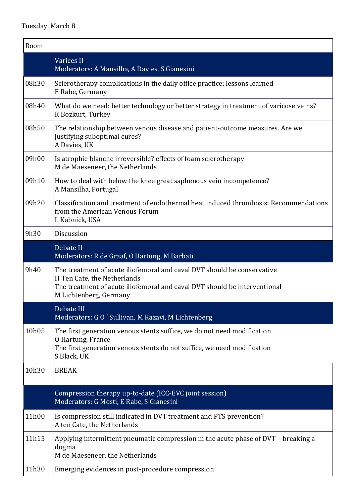| Room  |                                                                                                                                                                                                               |
|-------|---------------------------------------------------------------------------------------------------------------------------------------------------------------------------------------------------------------|
|       | <b>Varices II</b><br>Moderators: A Mansilha, A Davies, S Gianesini                                                                                                                                            |
| 08h30 | Sclerotherapy complications in the daily office practice: lessons learned<br>E Rabe, Germany                                                                                                                  |
| 08h40 | What do we need: better technology or better strategy in treatment of varicose veins?<br>K Bozkurt, Turkey                                                                                                    |
| 08h50 | The relationship between venous disease and patient-outcome measures. Are we<br>justifying suboptimal cures?<br>A Davies, UK                                                                                  |
| 09h00 | Is atrophie blanche irreversible? effects of foam sclerotherapy<br>M de Maeseneer, the Netherlands                                                                                                            |
| 09h10 | How to deal with below the knee great saphenous vein incompetence?<br>A Mansilha, Portugal                                                                                                                    |
| 09h20 | Classification and treatment of endothermal heat induced thrombosis: Recommendations<br>from the American Venous Forum<br>L Kabnick, USA                                                                      |
| 9h30  | Discussion                                                                                                                                                                                                    |
|       | Debate II<br>Moderators: R de Graaf, O Hartung, M Barbati                                                                                                                                                     |
| 9h40  | The treatment of acute iliofemoral and caval DVT should be conservative<br>H Ten Cate, the Netherlands<br>The treatment of acute iliofemoral and caval DVT should be interventional<br>M Lichtenberg, Germany |
|       | Debate III<br>Moderators: GO ' Sullivan, M Razavi, M Lichtenberg                                                                                                                                              |
| 10h05 | The first generation venous stents suffice, we do not need modification<br>O Hartung, France<br>The first generation venous stents do not suffice, we need modification<br>S Black, UK                        |
| 10h30 | <b>BREAK</b>                                                                                                                                                                                                  |
|       | Compression therapy up-to-date (ICC-EVC joint session)<br>Moderators: G Mosti, E Rabe, S Gianesini                                                                                                            |
| 11h00 | Is compression still indicated in DVT treatment and PTS prevention?<br>A ten Cate, the Netherlands                                                                                                            |
| 11h15 | Applying intermittent pneumatic compression in the acute phase of DVT - breaking a<br>dogma<br>M de Maeseneer, the Netherlands                                                                                |
| 11h30 | Emerging evidences in post-procedure compression                                                                                                                                                              |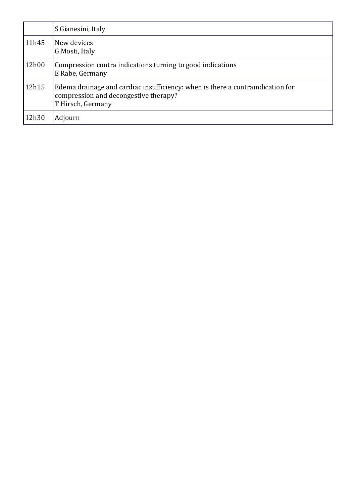|       | S Gianesini, Italy                                                                                                                           |
|-------|----------------------------------------------------------------------------------------------------------------------------------------------|
| 11h45 | New devices<br>G Mosti, Italy                                                                                                                |
| 12h00 | Compression contra indications turning to good indications<br>E Rabe, Germany                                                                |
| 12h15 | Edema drainage and cardiac insufficiency: when is there a contraindication for<br>compression and decongestive therapy?<br>T Hirsch, Germany |
| 12h30 | Adjourn                                                                                                                                      |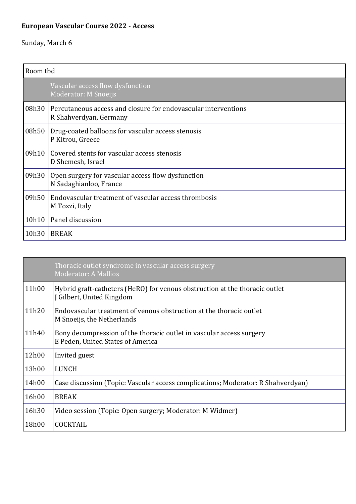## **European Vascular Course 2022 - Access**

|       | Room tbd                                                                                 |  |
|-------|------------------------------------------------------------------------------------------|--|
|       | Vascular access flow dysfunction<br><b>Moderator: M Snoeijs</b>                          |  |
| 08h30 | Percutaneous access and closure for endovascular interventions<br>R Shahverdyan, Germany |  |
| 08h50 | Drug-coated balloons for vascular access stenosis<br>P Kitrou, Greece                    |  |
| 09h10 | Covered stents for vascular access stenosis<br>D Shemesh, Israel                         |  |
| 09h30 | Open surgery for vascular access flow dysfunction<br>N Sadaghianloo, France              |  |
| 09h50 | Endovascular treatment of vascular access thrombosis<br>M Tozzi, Italy                   |  |
| 10h10 | Panel discussion                                                                         |  |
| 10h30 | <b>BREAK</b>                                                                             |  |

|       | Thoracic outlet syndrome in vascular access surgery<br><b>Moderator: A Mallios</b>                        |
|-------|-----------------------------------------------------------------------------------------------------------|
| 11h00 | Hybrid graft-catheters (HeRO) for venous obstruction at the thoracic outlet<br>J Gilbert, United Kingdom  |
| 11h20 | Endovascular treatment of venous obstruction at the thoracic outlet<br>M Snoeijs, the Netherlands         |
| 11h40 | Bony decompression of the thoracic outlet in vascular access surgery<br>E Peden, United States of America |
| 12h00 | Invited guest                                                                                             |
| 13h00 | LUNCH                                                                                                     |
| 14h00 | Case discussion (Topic: Vascular access complications; Moderator: R Shahverdyan)                          |
| 16h00 | <b>BREAK</b>                                                                                              |
| 16h30 | Video session (Topic: Open surgery; Moderator: M Widmer)                                                  |
| 18h00 | <b>COCKTAIL</b>                                                                                           |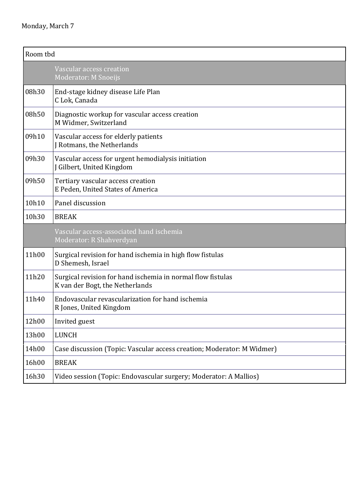| Room tbd |                                                                                                |
|----------|------------------------------------------------------------------------------------------------|
|          | Vascular access creation<br>Moderator: M Snoeijs                                               |
| 08h30    | End-stage kidney disease Life Plan<br>C Lok, Canada                                            |
| 08h50    | Diagnostic workup for vascular access creation<br>M Widmer, Switzerland                        |
| 09h10    | Vascular access for elderly patients<br>J Rotmans, the Netherlands                             |
| 09h30    | Vascular access for urgent hemodialysis initiation<br>J Gilbert, United Kingdom                |
| 09h50    | Tertiary vascular access creation<br>E Peden, United States of America                         |
| 10h10    | Panel discussion                                                                               |
| 10h30    | <b>BREAK</b>                                                                                   |
|          | Vascular access-associated hand ischemia<br>Moderator: R Shahverdyan                           |
| 11h00    | Surgical revision for hand ischemia in high flow fistulas<br>D Shemesh, Israel                 |
| 11h20    | Surgical revision for hand ischemia in normal flow fistulas<br>K van der Bogt, the Netherlands |
| 11h40    | Endovascular revascularization for hand ischemia<br>R Jones, United Kingdom                    |
| 12h00    | Invited guest                                                                                  |
| 13h00    | LUNCH                                                                                          |
| 14h00    | Case discussion (Topic: Vascular access creation; Moderator: M Widmer)                         |
| 16h00    | <b>BREAK</b>                                                                                   |
| 16h30    | Video session (Topic: Endovascular surgery; Moderator: A Mallios)                              |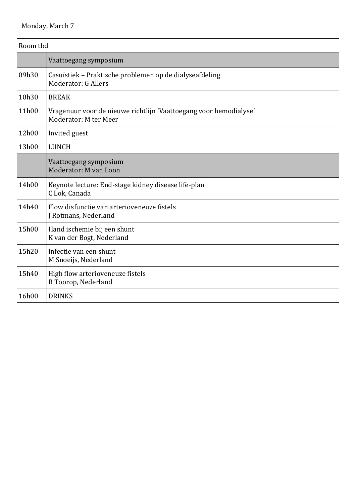| Room tbd |                                                                                            |
|----------|--------------------------------------------------------------------------------------------|
|          | Vaattoegang symposium                                                                      |
| 09h30    | Casuïstiek – Praktische problemen op de dialyseafdeling<br>Moderator: G Allers             |
| 10h30    | <b>BREAK</b>                                                                               |
| 11h00    | Vragenuur voor de nieuwe richtlijn 'Vaattoegang voor hemodialyse'<br>Moderator: M ter Meer |
| 12h00    | Invited guest                                                                              |
| 13h00    | <b>LUNCH</b>                                                                               |
|          | Vaattoegang symposium<br>Moderator: M van Loon                                             |
| 14h00    | Keynote lecture: End-stage kidney disease life-plan<br>C Lok, Canada                       |
| 14h40    | Flow disfunctie van arterioveneuze fistels<br>J Rotmans, Nederland                         |
| 15h00    | Hand ischemie bij een shunt<br>K van der Bogt, Nederland                                   |
| 15h20    | Infectie van een shunt<br>M Snoeijs, Nederland                                             |
| 15h40    | High flow arterioveneuze fistels<br>R Toorop, Nederland                                    |
| 16h00    | <b>DRINKS</b>                                                                              |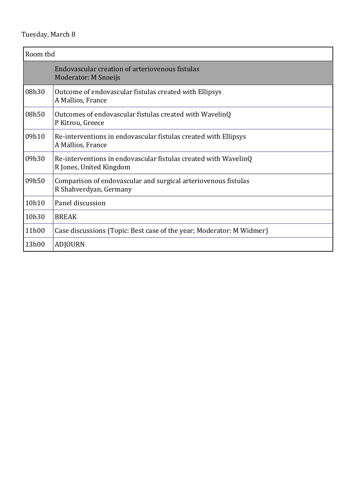| Room tbd |                                                                                            |
|----------|--------------------------------------------------------------------------------------------|
|          | Endovascular creation of arteriovenous fistulas<br><b>Moderator: M Snoeijs</b>             |
| 08h30    | Outcome of endovascular fistulas created with Ellipsys<br>A Mallios, France                |
| 08h50    | Outcomes of endovascular fistulas created with WavelinQ<br>P Kitrou, Greece                |
| 09h10    | Re-interventions in endovascular fistulas created with Ellipsys<br>A Mallios, France       |
| 09h30    | Re-interventions in endovascular fistulas created with WavelinQ<br>R Jones, United Kingdom |
| 09h50    | Comparison of endovascular and surgical arteriovenous fistulas<br>R Shahverdyan, Germany   |
| 10h10    | Panel discussion                                                                           |
| 10h30    | <b>BREAK</b>                                                                               |
| 11h00    | Case discussions (Topic: Best case of the year; Moderator: M Widmer)                       |
| 13h00    | <b>ADJOURN</b>                                                                             |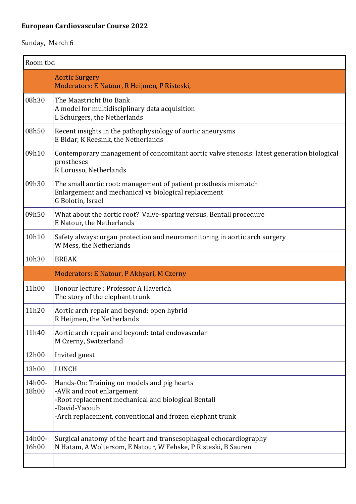## **European Cardiovascular Course 2022**

| Room tbd        |                                                                                                                                                                                                               |
|-----------------|---------------------------------------------------------------------------------------------------------------------------------------------------------------------------------------------------------------|
|                 | <b>Aortic Surgery</b><br>Moderators: E Natour, R Heijmen, P Risteski,                                                                                                                                         |
| 08h30           | The Maastricht Bio Bank<br>A model for multidisciplinary data acquisition<br>L Schurgers, the Netherlands                                                                                                     |
| 08h50           | Recent insights in the pathophysiology of aortic aneurysms<br>E Bidar, K Reesink, the Netherlands                                                                                                             |
| 09h10           | Contemporary management of concomitant aortic valve stenosis: latest generation biological<br>prostheses<br>R Lorusso, Netherlands                                                                            |
| 09h30           | The small aortic root: management of patient prosthesis mismatch<br>Enlargement and mechanical vs biological replacement<br>G Bolotin, Israel                                                                 |
| 09h50           | What about the aortic root? Valve-sparing versus. Bentall procedure<br>E Natour, the Netherlands                                                                                                              |
| 10h10           | Safety always: organ protection and neuromonitoring in aortic arch surgery<br>W Mess, the Netherlands                                                                                                         |
| 10h30           | <b>BREAK</b>                                                                                                                                                                                                  |
|                 | Moderators: E Natour, P Akhyari, M Czerny                                                                                                                                                                     |
| 11h00           | Honour lecture: Professor A Haverich<br>The story of the elephant trunk                                                                                                                                       |
| 11h20           | Aortic arch repair and beyond: open hybrid<br>R Heijmen, the Netherlands                                                                                                                                      |
| 11h40           | Aortic arch repair and beyond: total endovascular<br>M Czerny, Switzerland                                                                                                                                    |
| 12h00           | Invited guest                                                                                                                                                                                                 |
| 13h00           | <b>LUNCH</b>                                                                                                                                                                                                  |
| 14h00-<br>18h00 | Hands-On: Training on models and pig hearts<br>-AVR and root enlargement<br>-Root replacement mechanical and biological Bentall<br>-David-Yacoub<br>-Arch replacement, conventional and frozen elephant trunk |
| 14h00-<br>16h00 | Surgical anatomy of the heart and transesophageal echocardiography<br>N Hatam, A Woltersom, E Natour, W Fehske, P Risteski, B Sauren                                                                          |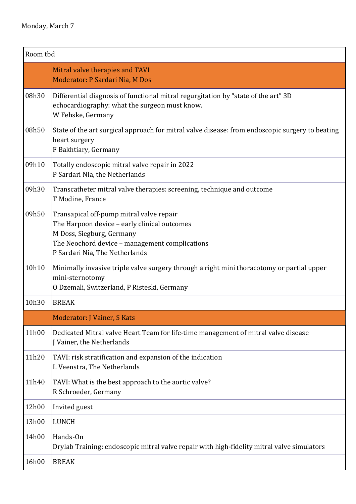| Room tbd |                                                                                                                                                                                                           |
|----------|-----------------------------------------------------------------------------------------------------------------------------------------------------------------------------------------------------------|
|          | Mitral valve therapies and TAVI<br>Moderator: P Sardari Nia, M Dos                                                                                                                                        |
| 08h30    | Differential diagnosis of functional mitral regurgitation by "state of the art" 3D<br>echocardiography: what the surgeon must know.<br>W Fehske, Germany                                                  |
| 08h50    | State of the art surgical approach for mitral valve disease: from endoscopic surgery to beating<br>heart surgery<br>F Bakhtiary, Germany                                                                  |
| 09h10    | Totally endoscopic mitral valve repair in 2022<br>P Sardari Nia, the Netherlands                                                                                                                          |
| 09h30    | Transcatheter mitral valve therapies: screening, technique and outcome<br>T Modine, France                                                                                                                |
| 09h50    | Transapical off-pump mitral valve repair<br>The Harpoon device - early clinical outcomes<br>M Doss, Siegburg, Germany<br>The Neochord device - management complications<br>P Sardari Nia, The Netherlands |
| 10h10    | Minimally invasive triple valve surgery through a right mini thoracotomy or partial upper<br>mini-sternotomy<br>O Dzemali, Switzerland, P Risteski, Germany                                               |
| 10h30    | <b>BREAK</b>                                                                                                                                                                                              |
|          | Moderator: J Vainer, S Kats                                                                                                                                                                               |
| 11h00    | Dedicated Mitral valve Heart Team for life-time management of mitral valve disease<br>J Vainer, the Netherlands                                                                                           |
| 11h20    | TAVI: risk stratification and expansion of the indication<br>L Veenstra, The Netherlands                                                                                                                  |
| 11h40    | TAVI: What is the best approach to the aortic valve?<br>R Schroeder, Germany                                                                                                                              |
| 12h00    | Invited guest                                                                                                                                                                                             |
| 13h00    | <b>LUNCH</b>                                                                                                                                                                                              |
| 14h00    | Hands-On<br>Drylab Training: endoscopic mitral valve repair with high-fidelity mitral valve simulators                                                                                                    |
| 16h00    | <b>BREAK</b>                                                                                                                                                                                              |